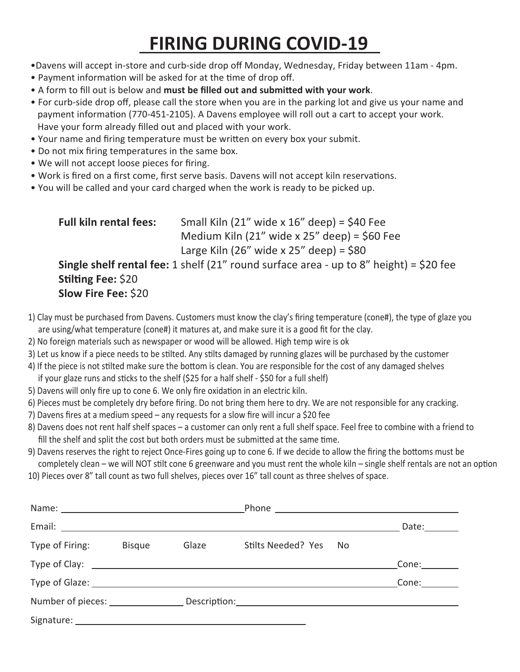## **FIRING DURING COVID-19**

- •Davens will accept in-store and curb-side drop off Monday, Wednesday, Friday between 11am 4pm.
- Payment information will be asked for at the time of drop off.
- A form to fill out is below and **must be filled out and submitted with your work**.
- For curb-side drop off, please call the store when you are in the parking lot and give us your name and payment information (770-451-2105). A Davens employee will roll out a cart to accept your work. Have your form already filled out and placed with your work.
- Your name and firing temperature must be written on every box your submit.
- Do not mix firing temperatures in the same box.
- We will not accept loose pieces for firing.
- Work is fired on a first come, first serve basis. Davens will not accept kiln reservations.
- You will be called and your card charged when the work is ready to be picked up.

 **Full kiln rental fees:** Small Kiln (21" wide x 16" deep) = \$40 Fee Medium Kiln (21" wide x 25" deep) =  $$60$  Fee Large Kiln (26" wide x 25" deep) =  $$80$ 

## **Single shelf rental fee:** 1 shelf (21" round surface area - up to 8" height) = \$20 fee **Stilting Fee:** \$20 **Slow Fire Fee:** \$20

- 1) Clay must be purchased from Davens. Customers must know the clay's firing temperature (cone#), the type of glaze you are using/what temperature (cone#) it matures at, and make sure it is a good fit for the clay.
- 2) No foreign materials such as newspaper or wood will be allowed. High temp wire is ok
- 3) Let us know if a piece needs to be stilted. Any stilts damaged by running glazes will be purchased by the customer
- 4) If the piece is not stilted make sure the bottom is clean. You are responsible for the cost of any damaged shelves if your glaze runs and sticks to the shelf (\$25 for a half shelf - \$50 for a full shelf)
- 5) Davens will only fire up to cone 6. We only fire oxidation in an electric kiln.
- 6) Pieces must be completely dry before firing. Do not bring them here to dry. We are not responsible for any cracking.
- 7) Davens fires at a medium speed any requests for a slow fire will incur a \$20 fee
- 8) Davens does not rent half shelf spaces a customer can only rent a full shelf space. Feel free to combine with a friend to fill the shelf and split the cost but both orders must be submitted at the same time.
- 9) Davens reserves the right to reject Once-Fires going up to cone 6. If we decide to allow the firing the bottoms must be completely clean – we will NOT stilt cone 6 greenware and you must rent the whole kiln – single shelf rentals are not an option
- 10) Pieces over 8" tall count as two full shelves, pieces over 16" tall count as three shelves of space.

|                 |               |       |                                                                                   |     | Date:________ |
|-----------------|---------------|-------|-----------------------------------------------------------------------------------|-----|---------------|
| Type of Firing: | <b>Bisque</b> | Glaze | Stilts Needed? Yes                                                                | No. |               |
|                 |               |       |                                                                                   |     | Cone:         |
|                 |               |       |                                                                                   |     | Cone:         |
|                 |               |       | Number of pieces: _______________________Description:____________________________ |     |               |
|                 |               |       |                                                                                   |     |               |